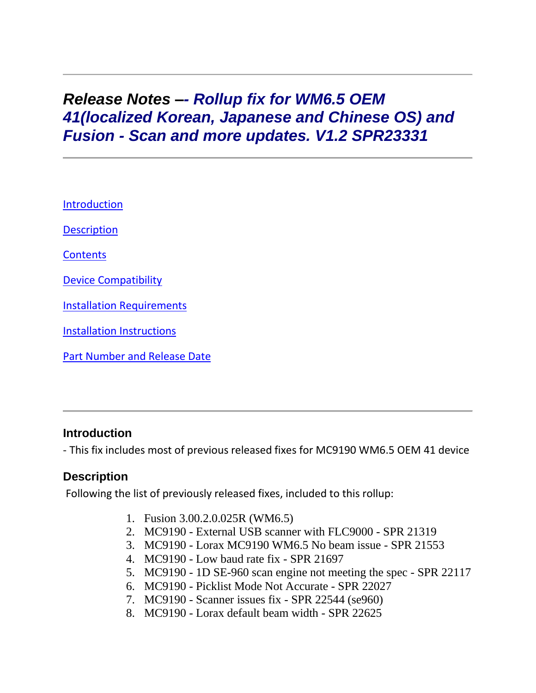# *Release Notes –- Rollup fix for WM6.5 OEM 41(localized Korean, Japanese and Chinese OS) and Fusion - Scan and more updates. V1.2 SPR23331*

[Introduction](https://atgsupportcentral.motorolasolutions.com/content/emb/docs/ReleaseNotes/Rollup_fix_for_WM6_5_OEM_41_and_Fusion_-_Scan_and_more_updates_V1_2_SPR_23331.htm#Introduction)

**[Description](https://atgsupportcentral.motorolasolutions.com/content/emb/docs/ReleaseNotes/Rollup_fix_for_WM6_5_OEM_41_and_Fusion_-_Scan_and_more_updates_V1_2_SPR_23331.htm#Description)** 

**[Contents](https://atgsupportcentral.motorolasolutions.com/content/emb/docs/ReleaseNotes/Rollup_fix_for_WM6_5_OEM_41_and_Fusion_-_Scan_and_more_updates_V1_2_SPR_23331.htm#Contents)** 

Device [Compatibility](https://atgsupportcentral.motorolasolutions.com/content/emb/docs/ReleaseNotes/Rollup_fix_for_WM6_5_OEM_41_and_Fusion_-_Scan_and_more_updates_V1_2_SPR_23331.htm#Compatibility_)

**Installation [Requirements](https://atgsupportcentral.motorolasolutions.com/content/emb/docs/ReleaseNotes/Rollup_fix_for_WM6_5_OEM_41_and_Fusion_-_Scan_and_more_updates_V1_2_SPR_23331.htm#Installation_Requirements)** 

**[Installation Instructions](https://atgsupportcentral.motorolasolutions.com/content/emb/docs/ReleaseNotes/Rollup_fix_for_WM6_5_OEM_41_and_Fusion_-_Scan_and_more_updates_V1_2_SPR_23331.htm#Installation_Instructions)** 

[Part Number and Release Date](https://atgsupportcentral.motorolasolutions.com/content/emb/docs/ReleaseNotes/Rollup_fix_for_WM6_5_OEM_41_and_Fusion_-_Scan_and_more_updates_V1_2_SPR_23331.htm#Document_Number_/_Revision_/_Release_Da)

#### **Introduction**

- This fix includes most of previous released fixes for MC9190 WM6.5 ОЕМ 41 device

#### **Description**

Following the list of previously released fixes, included to this rollup:

- 1. Fusion 3.00.2.0.025R (WM6.5)
- 2. MC9190 External USB scanner with FLC9000 SPR 21319
- 3. MC9190 Lorax MC9190 WM6.5 No beam issue SPR 21553
- 4. MC9190 Low baud rate fix SPR 21697
- 5. MC9190 1D SE-960 scan engine not meeting the spec SPR 22117
- 6. MC9190 Picklist Mode Not Accurate SPR 22027
- 7. MC9190 Scanner issues fix SPR 22544 (se960)
- 8. MC9190 Lorax default beam width SPR 22625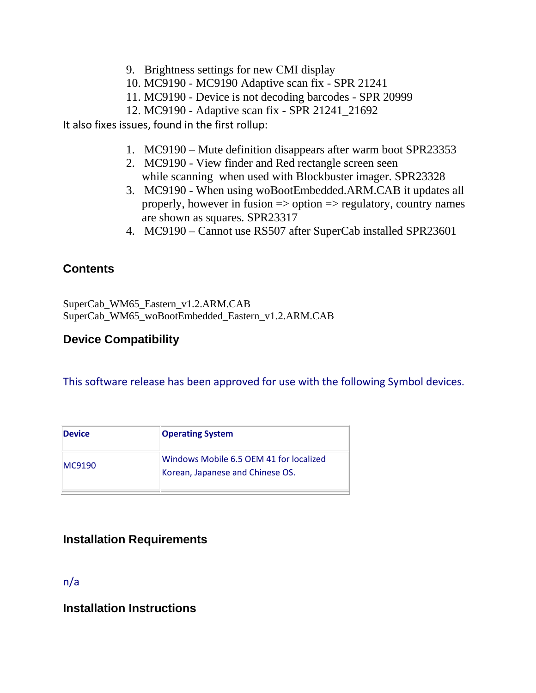- 9. Brightness settings for new CMI display
- 10. MC9190 MC9190 Adaptive scan fix SPR 21241
- 11. MC9190 Device is not decoding barcodes SPR 20999
- 12. MC9190 Adaptive scan fix SPR 21241\_21692

It also fixes issues, found in the first rollup:

- 1. MC9190 Mute definition disappears after warm boot SPR23353
- 2. MC9190 View finder and Red rectangle screen seen while scanning when used with Blockbuster imager. SPR23328
- 3. MC9190 When using woBootEmbedded.ARM.CAB it updates all properly, however in fusion => option => regulatory, country names are shown as squares. SPR23317
- 4. MC9190 Cannot use RS507 after SuperCab installed SPR23601

# **Contents**

SuperCab\_WM65\_Eastern\_v1.2.ARM.CAB SuperCab\_WM65\_woBootEmbedded\_Eastern\_v1.2.ARM.CAB

## **Device Compatibility**

This software release has been approved for use with the following Symbol devices.

| <b>Device</b>  | <b>Operating System</b>                                                     |
|----------------|-----------------------------------------------------------------------------|
| <b>IMC9190</b> | Windows Mobile 6.5 OEM 41 for localized<br>Korean, Japanese and Chinese OS. |

# **Installation Requirements**

n/a

**Installation Instructions**